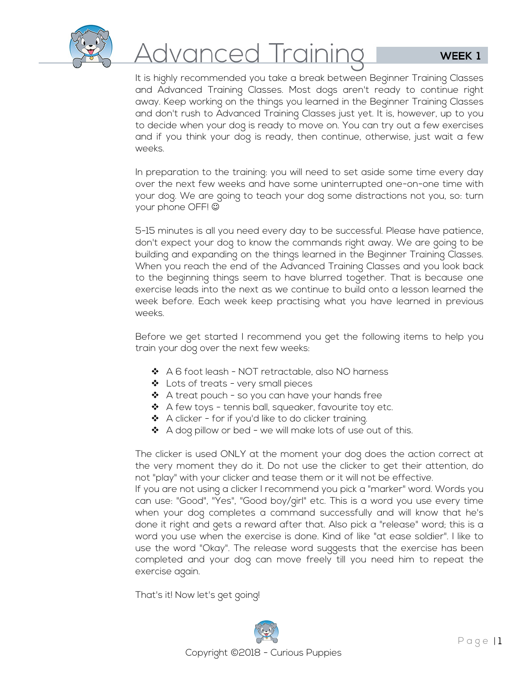

# <u>Advanced Training</u>

It is highly recommended you take a break between Beginner Training Classes and Advanced Training Classes. Most dogs aren't ready to continue right away. Keep working on the things you learned in the Beginner Training Classes and don't rush to Advanced Training Classes just yet. It is, however, up to you to decide when your dog is ready to move on. You can try out a few exercises and if you think your dog is ready, then continue, otherwise, just wait a few weeks.

In preparation to the training: you will need to set aside some time every day over the next few weeks and have some uninterrupted one-on-one time with your dog. We are going to teach your dog some distractions not you, so: turn your phone OFF!

5-15 minutes is all you need every day to be successful. Please have patience, don't expect your dog to know the commands right away. We are going to be building and expanding on the things learned in the Beginner Training Classes. When you reach the end of the Advanced Training Classes and you look back to the beginning things seem to have blurred together. That is because one exercise leads into the next as we continue to build onto a lesson learned the week before. Each week keep practising what you have learned in previous weeks.

Before we get started I recommend you get the following items to help you train your dog over the next few weeks:

- A 6 foot leash NOT retractable, also NO harness
- ❖ Lots of treats very small pieces
- $\clubsuit$  A treat pouch so you can have your hands free
- $\triangleleft$  A few toys tennis ball, squeaker, favourite toy etc.
- $\clubsuit$  A clicker for if you'd like to do clicker training.
- \* A dog pillow or bed we will make lots of use out of this.

The clicker is used ONLY at the moment your dog does the action correct at the very moment they do it. Do not use the clicker to get their attention, do not "play" with your clicker and tease them or it will not be effective.

If you are not using a clicker I recommend you pick a "marker" word. Words you can use: "Good", "Yes", "Good boy/girl" etc. This is a word you use every time when your dog completes a command successfully and will know that he's done it right and gets a reward after that. Also pick a "release" word; this is a word you use when the exercise is done. Kind of like "at ease soldier". I like to use the word "Okay". The release word suggests that the exercise has been completed and your dog can move freely till you need him to repeat the exercise again.

That's it! Now let's get going!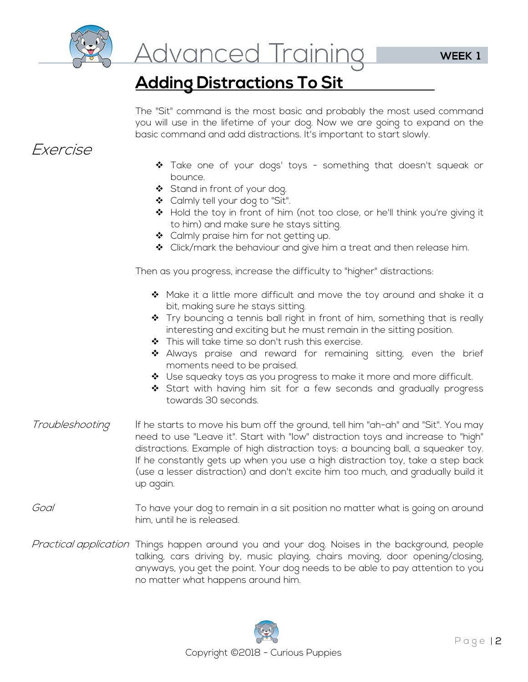

<u>Advanced Training</u>

## **Adding Distractions To Sit**

The "Sit" command is the most basic and probably the most used command you will use in the lifetime of your dog. Now we are going to expand on the basic command and add distractions. It's important to start slowly.

### Exercise

- Take one of your dogs' toys something that doesn't squeak or bounce.
- Stand in front of your dog.
- ❖ Calmly tell your dog to "Sit".
- \* Hold the toy in front of him (not too close, or he'll think you're giving it to him) and make sure he stays sitting.
- ❖ Calmly praise him for not getting up.
- ◆ Click/mark the behaviour and give him a treat and then release him.

Then as you progress, increase the difficulty to "higher" distractions:

- $\div$  Make it a little more difficult and move the toy around and shake it a bit, making sure he stays sitting.
- $\clubsuit$  Try bouncing a tennis ball right in front of him, something that is really interesting and exciting but he must remain in the sitting position.
- ◆ This will take time so don't rush this exercise.
- Always praise and reward for remaining sitting, even the brief moments need to be praised.
- ❖ Use squeaky toys as you progress to make it more and more difficult.
- Start with having him sit for a few seconds and gradually progress towards 30 seconds.
- Troubleshooting If he starts to move his bum off the ground, tell him "ah-ah" and "Sit". You may need to use "Leave it". Start with "low" distraction toys and increase to "high" distractions. Example of high distraction toys: a bouncing ball, a squeaker toy. If he constantly gets up when you use a high distraction toy, take a step back (use a lesser distraction) and don't excite him too much, and gradually build it up again.
- Goal To have your dog to remain in a sit position no matter what is going on around him, until he is released.
- Practical application Things happen around you and your dog. Noises in the background, people talking, cars driving by, music playing, chairs moving, door opening/closing, anyways, you get the point. Your dog needs to be able to pay attention to you no matter what happens around him.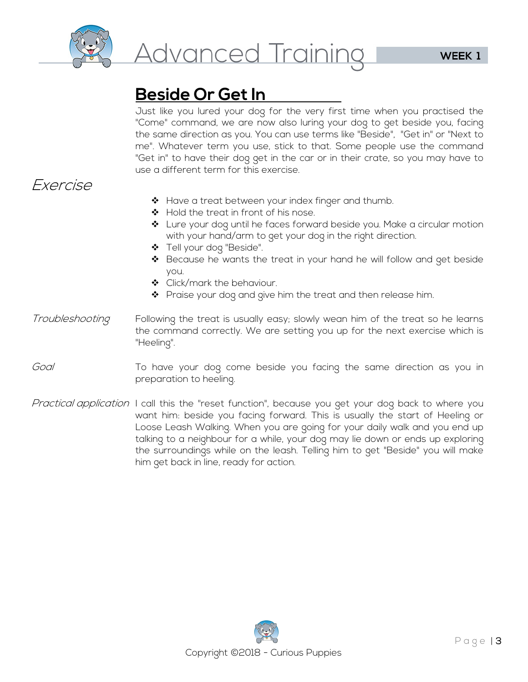

# **Beside Or Get In**

Just like you lured your dog for the very first time when you practised the "Come" command, we are now also luring your dog to get beside you, facing the same direction as you. You can use terms like "Beside", "Get in" or "Next to me". Whatever term you use, stick to that. Some people use the command "Get in" to have their dog get in the car or in their crate, so you may have to use a different term for this exercise.

## Exercise

- ❖ Have a treat between your index finger and thumb.
- ◆ Hold the treat in front of his nose.
- Lure your dog until he faces forward beside you. Make a circular motion with your hand/arm to get your dog in the right direction.
- Tell your dog "Beside".
- ❖ Because he wants the treat in your hand he will follow and get beside you.
- ◆ Click/mark the behaviour.
- ◆ Praise your dog and give him the treat and then release him.
- Troubleshooting Following the treat is usually easy; slowly wean him of the treat so he learns the command correctly. We are setting you up for the next exercise which is "Heeling".
- Goal To have your dog come beside you facing the same direction as you in preparation to heeling.
- Practical application I call this the "reset function", because you get your dog back to where you want him: beside you facing forward. This is usually the start of Heeling or Loose Leash Walking. When you are going for your daily walk and you end up talking to a neighbour for a while, your dog may lie down or ends up exploring the surroundings while on the leash. Telling him to get "Beside" you will make him get back in line, ready for action.